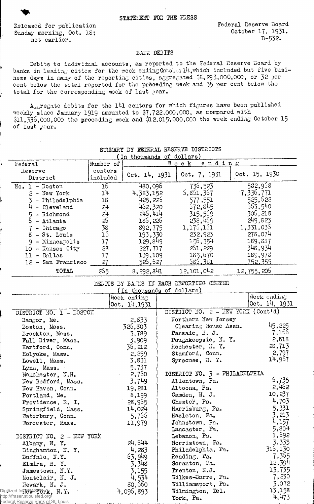Released for publication Sunday morning, Oct. IS; not earlier.

## BANK DEBITS

Debits to individual accounts, as reported to the Federal Reserve Doard by banks in leading cities for the week ending  $O\pi$  ober. I $\mu$ , which included but five business days in many of the reporting cities, aggregated  $$5,293,000,000$ , or 32 per cent below the total reported for the preceding week and 35 per cent below the total for the corresponding week of last year.

Aggregate debits for the 141 centers for which figures have been published weekly since January 1919 amounted to \$7,722,000,000, as compared with \$11,335,000,000 the preceding week and \$12,015,000,000 the week ending October 15 of last year.

| In thousands of dollars)                                                                                                                            |           |                           |  |                                          |               |  |  |
|-----------------------------------------------------------------------------------------------------------------------------------------------------|-----------|---------------------------|--|------------------------------------------|---------------|--|--|
| Federal                                                                                                                                             | Number of |                           |  | ending<br>Week                           |               |  |  |
| Reserve                                                                                                                                             | centers   | Oct. 14, 1931             |  |                                          | Oct. 15, 1930 |  |  |
| District                                                                                                                                            | included  |                           |  | Oct. 7, 1931                             |               |  |  |
| $No. 1 - Doston$                                                                                                                                    | 16        | 480,095                   |  | 735,523                                  | 582,958       |  |  |
| $2 - New York$                                                                                                                                      | 14        | 4,383,152                 |  | 5,851,357                                | 7,336,771     |  |  |
| 3 - Philadelphia                                                                                                                                    | 18        | 425,226                   |  | 577,551                                  | 525,622       |  |  |
| $4$ - Cleveland                                                                                                                                     | 24        | 452,320                   |  | 572,845                                  | 563,540       |  |  |
| $5 - \text{Richard}$                                                                                                                                | 24        | 245,414                   |  | 315,569                                  | 306,213       |  |  |
| $6$ - Atlanta                                                                                                                                       | న         | 186,226                   |  | 238,469                                  | 249, 823      |  |  |
| $7 -$ Chicago                                                                                                                                       | 35        | 892,775                   |  | 1,175,151                                | 1,331,035     |  |  |
| 8 - St. Louis                                                                                                                                       | 16        | 193,330                   |  | 232,923                                  | 273,074       |  |  |
| $9 -$ Minneapolis                                                                                                                                   | 17        | 129,849                   |  | 156,354                                  | 189,337       |  |  |
| 10 - Kansas City                                                                                                                                    | 28        | 227,717                   |  | 261,229                                  | 348,934       |  |  |
| $11 - D_2$ llas                                                                                                                                     | 17        | 139,109                   |  | 185,670                                  | 189,973       |  |  |
| 12 - San Francisco                                                                                                                                  | 27        | 525,527                   |  | 585,381                                  | 752,355       |  |  |
| TOTAL                                                                                                                                               | 255       | 8,292,841                 |  | 12,101,042                               | 12, 755, 205  |  |  |
|                                                                                                                                                     |           |                           |  | DEBITS BY BARKS IN EACH REPORTING CENTER |               |  |  |
|                                                                                                                                                     |           | (In thousands of dollars) |  |                                          |               |  |  |
|                                                                                                                                                     |           | Week ending               |  |                                          | Week ending   |  |  |
|                                                                                                                                                     |           | 0ct. 14, 1931             |  |                                          | Oct. 14, 1931 |  |  |
| DISTRICT NO. 1 - BOSTON                                                                                                                             |           |                           |  | DISTRICT NO. 2 - NEW YORK (Cont'd)       |               |  |  |
| Bangor, Me.                                                                                                                                         |           | 2,833                     |  | Northern New Jersey                      |               |  |  |
| Boston, Mass.                                                                                                                                       |           | 326,803                   |  | Clearing House Assn.                     | 45,225        |  |  |
| Drockton, Mass.                                                                                                                                     |           | 3,789                     |  | Passaic, N. J.                           | 7,156         |  |  |
| Fall River, Mass.                                                                                                                                   |           | 3,909                     |  | Poughkeepsie, N.Y.                       | 2,818         |  |  |
| Hartford, Conn.                                                                                                                                     |           | 35,212                    |  | Rochester, N.Y.                          | 23,713        |  |  |
| Holyoke, Mass.                                                                                                                                      |           | 2,259                     |  | Stamford, Conn.                          | 2,797         |  |  |
| Lowell, Mass.                                                                                                                                       |           | 3,831                     |  | Syracuse, N. 7.                          | 14,967        |  |  |
| Lynn, Mass.                                                                                                                                         |           | 5,737                     |  |                                          |               |  |  |
| Manchester, N.H.                                                                                                                                    |           | 2,750                     |  | DISTRICT NO. 3 - PHILADELPHIA            |               |  |  |
| New Bedford, Mass.                                                                                                                                  |           | 3,749                     |  | Allentown, Pa.                           | 5,735         |  |  |
| New Haven, Conn.                                                                                                                                    |           | 19,281                    |  | Altoona, Pa.                             | 2,462         |  |  |
| Portland, Me.                                                                                                                                       |           | 8,199                     |  | Camden, N. J.                            | 10,237        |  |  |
| Providence, R. I.                                                                                                                                   |           | 28,955                    |  | Chester, Pa.                             | 4,703         |  |  |
| Springfield, Mass.                                                                                                                                  |           | 14,024                    |  | Harrisburg, Pa.                          | 5,331         |  |  |
| Waterbury, Conn.                                                                                                                                    |           | 5,765                     |  | Hazleton, Pa.                            | 3,213         |  |  |
| Worcester, Mass.                                                                                                                                    |           | 11,979                    |  | Johnstown, Pa.                           | 4,157         |  |  |
|                                                                                                                                                     |           |                           |  | Lancaster, Pa.                           | 5,804         |  |  |
| DISTRICT NO. 2 - NEW YORK                                                                                                                           |           |                           |  | Lebanon, Pa.                             | 1,592         |  |  |
| Albany, N. Y.                                                                                                                                       |           | 24,544                    |  | Norristown, Pa.                          | 3,335         |  |  |
| Binghamton, N.Y.                                                                                                                                    |           | 4,283                     |  | Philadelphia, Pa.                        | 315,130       |  |  |
| Buffalo, N.Y.                                                                                                                                       |           | 63,949                    |  | Reading, Pa.                             | 7,355         |  |  |
| Elmira, N.Y.                                                                                                                                        |           | 3,348                     |  | Scranton, Pa.                            | 12,394        |  |  |
| Jamestown, N.Y.                                                                                                                                     |           | 3,155                     |  | Trenton, N.J.                            | 13,735        |  |  |
| Montclair, N. J.                                                                                                                                    |           | 4,534                     |  | Wilkes-Barre, Pa.                        | 7,230         |  |  |
| Newark, N. J.                                                                                                                                       |           | 80,560                    |  | Williamsport, Pa.                        | 3,072         |  |  |
| Digitized for $\mathbb{R} \mathbb{R}$ $\mathbb{S}$ $\mathbb{F}$ $\mathbb{S}$ $\mathbb{F}$ $\mathbb{R}$ , $\mathbb{N}$ , $\mathbb{Y}$ , $\mathbb{S}$ |           | 4,096,893                 |  | Wilmington, Del.                         | 13,158        |  |  |
| http://fraser.stlouisfed.org/<br>Federal Reserve Bank of St. Louis                                                                                  |           |                           |  | York, Pa.                                | 4,473         |  |  |

## SUMMARY BY FEDERAL RESERVE DISTRICTS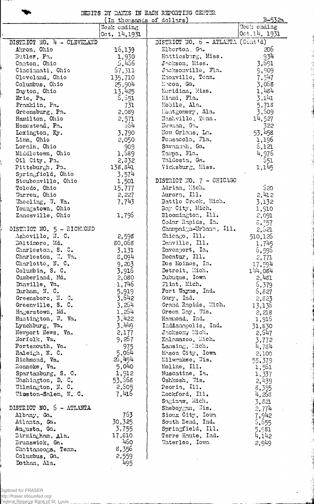|  |  | DEBITS BY BANKS IN EACH REPORTING CENTER |  |
|--|--|------------------------------------------|--|
|  |  |                                          |  |

i<br>A

|                              | (In thousands of dollars) |                                     | <u>B-532a</u> |
|------------------------------|---------------------------|-------------------------------------|---------------|
|                              | Week ending               |                                     | Week ending   |
|                              | 0ct. 14, 1931             |                                     | 0ct.14, 1931  |
| DISTRICT NO. 4 - CLEVELAND   |                           | DISTRICT NO. $6$ - ATLANTA (Cont'd) |               |
| Akron, Ohio                  | 16,139                    | Elberton, Ga.                       | 206           |
| Butler, Pa.                  | 1,930                     | Hattiesburg, Miss.                  | $-934$        |
| Canton, Ohio                 | .5,456                    | Jackson, Miss.                      | 3,691         |
|                              |                           |                                     |               |
| Cincinnati, Ohio             | 57,311                    | Jacksonville, Fla.                  | 9,909         |
| Cleveland, Ohio              | 135,710                   | Knoxville, Tonn.                    | 7,547         |
| Columbus, Ohio               | 25,904                    | Macon, Ga.                          | 3,068         |
| Dayton, Ohio                 | 13,425                    | Moridian, Miss.                     | 1,484         |
| Erie, Pa.                    | 6,551                     | Miami, Fla.                         | 3,141         |
| Franklin, Pa.                | 731                       | Mobile, Ala.                        | 5,718         |
| Greensburg, Pa.              | 2,089                     | Montgomery, Ala.                    | 3,509         |
| Hamilton, Ohio               | 2,571                     | Nashville, Tenn.                    | 14,527        |
| Homestend, Pa.               | -554                      | Newman, Ga.                         | 322           |
| Lexington, Ky.               | 3,790                     | New Orlans, La.                     | 53,458        |
| Lima, Ohio                   | 2,050                     | Pensacola, Fla.                     | 1,196         |
| Lorain, Ohio                 | 909                       | Savannah, Ga.                       |               |
|                              |                           |                                     | 5,121         |
| Middletown, Ohio             | 1,589                     | Tampa, Fla.                         | 4,976         |
| Oil City, Pa.                | 2,332                     | Valdosta, Ga.                       | -551          |
| Pittsbur $\rho$ h, Pa.       | 138,841                   | Vicksburg, Miss.                    | 1,145         |
| Springfield, Ohio            | 3,574                     |                                     |               |
| Steubenville, Ohio           | 1,501                     | DISTRICT NO. 7 - CHICAGO            |               |
| Toledo, Ohio                 | 15,777                    | Adrian, Mich.                       | 520           |
| Warren, Ohio                 | 2,227                     | Aurora, Ill.                        | 2,412         |
| Wheeling, W. Va.             | 7,743                     | Battle Crock, Mich.                 | 3,132         |
| Youngstown, Ohio             |                           | Boy City, Mich.                     | 1,910         |
| Zanesville, Ohio             | $1,795$ .                 | Bloomington, Ill.                   | 2,091         |
|                              |                           | Cedar Rapids, Ia.                   | 8,557         |
| DISTRICT NO. 5 - RICHMOND    |                           | Champaign-Urbano, Ill.              | 2,521         |
| Asheville, N. C.             |                           | $\text{Chica}_{\mathbb{S}}$ o, Ill. |               |
|                              | 2,598                     |                                     | 510,126       |
| Daltimore, Md.               | 80,068                    | Danville, Ill.                      | 1,745         |
| Charleston, S. C.            | 3,131                     | Davorport, I2.                      | 5,595         |
| Charleston, W. Va.           | 8,094                     | Decatur, Ill.                       | 2,771         |
| Charlotte, N. C.             | 9,203                     | Des Moines, Ia.                     | 17,594        |
| Columbia, S. C.              | 3,916                     | Detroit, Mich.                      | 144,084       |
| Cumberland, Md.              | 2,080                     | Dubuque, Iowa                       | 2,481         |
| Danville, Va.                | 1,746                     | $\text{Flint}$ , Mich.              | 6,379         |
| Durham, N. C.                | 5,919                     | Fort Wayne, Ind.                    | 5,827         |
| Greensboro, N. C.            | 3,642                     | Gary, Ind.                          | 2,823         |
| Greenville, S. C.            | 3,264                     | Grand Rapids, Mich.                 | 13,136        |
| Hagerstown, Md.              | 1,254                     | Green Day, Wis.                     | 2,218         |
| Huntington, W. Va.           | 3,422                     | Hammond, Ind.                       | 1,915         |
| Lynchburg, Va.               | 3,449                     | Indianapolis, Ind.                  | 31,830        |
| Newport News, Va.            | 2,177                     | Jackson, Mich.                      | 2,547         |
| Norfolk, Va.                 | 9,257                     | Kalamazoo, Mich.                    |               |
|                              |                           |                                     | 3,772         |
| Portsmouth, Va.              | 975                       | Lansing, Mich.                      | 4,784         |
| Raleigh, N. C.               | 5,054                     | Mason City, Iowa                    | 2,100         |
| Richmond, Va.                | 25,494                    | Milwaukee, Wis.                     | 55,379        |
| Roanoke, Va.                 | 5,040                     | Moline, Ill.                        | 1,561         |
| Spartanburg, S. C.           | 1,912                     | Muscatine, Ia.                      | 1,337         |
| Washington, D. C.            | 53,668                    | Oshkosh, Wis.                       | 2,439         |
| $\texttt{Wilmington, N. C.}$ | 2,505                     | Peoria, I11.                        | 8,355         |
| Winston-Salem, N. C.         | 7,416                     | Rockford, Ill.                      | $-4,253$      |
|                              |                           | Saginaw, Mich.                      | 3,821         |
| DISTRICT NO. 5 - ATLANTA     |                           | Sheboygan, Wis.                     | 2,774         |
| Albany, Ga.                  | 763                       | Sioux City, Iown                    | 7,942         |
| Atlanta, Ga.                 | 30,325                    | South Bend, Ind.                    | 5,655         |
| Augusta, Ga.                 | 3,755                     | Springfield, Ill.                   | 5,981         |
| Birmingham, Ala.             | 17,810                    | Terre Haute, Ind.                   | 4,142         |
|                              | 460                       | Waterloo, Iowa                      |               |
| Brunswick, Ga.               |                           |                                     | 2,949         |
| Chattanooga, Tenn.           | 8,356                     |                                     |               |
| Columbus, Ga.                | 2,559                     |                                     |               |
| Dothan, Ala.                 | 495                       |                                     |               |

 $\overline{a}$